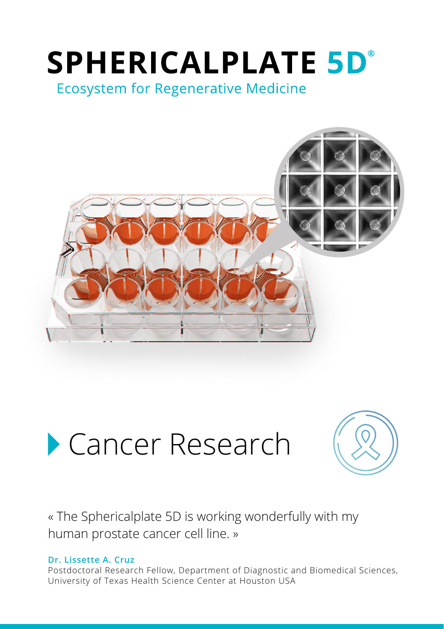# **SPHERICALPLATE 5D°**

**Ecosystem for Regenerative Medicine** 



## Cancer Research



« The Sphericalplate 5D is working wonderfully with my human prostate cancer cell line. »

#### **Dr. Lissette A. Cruz**

Postdoctoral Research Fellow, Department of Diagnostic and Biomedical Sciences, University of Texas Health Science Center at Houston USA